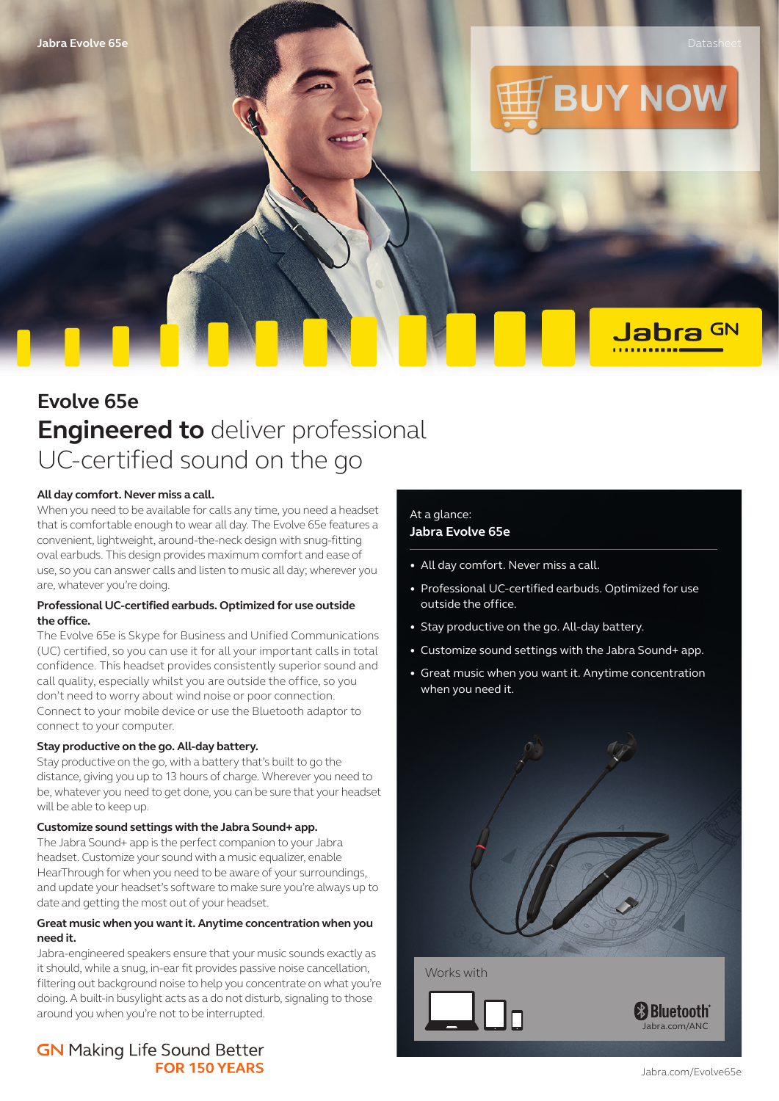Jabra GN



# **Evolve 65e Engineered to** deliver professional UC-certified sound on the go

#### **All day comfort. Never miss a call.**

When you need to be available for calls any time, you need a headset that is comfortable enough to wear all day. The Evolve 65e features a convenient, lightweight, around-the-neck design with snug-fitting oval earbuds. This design provides maximum comfort and ease of use, so you can answer calls and listen to music all day; wherever you are, whatever you're doing.

## **Professional UC-certified earbuds. Optimized for use outside the office.**

The Evolve 65e is Skype for Business and Unified Communications (UC) certified, so you can use it for all your important calls in total confidence. This headset provides consistently superior sound and call quality, especially whilst you are outside the office, so you don't need to worry about wind noise or poor connection. Connect to your mobile device or use the Bluetooth adaptor to connect to your computer.

#### **Stay productive on the go. All-day battery.**

Stay productive on the go, with a battery that's built to go the distance, giving you up to 13 hours of charge. Wherever you need to be, whatever you need to get done, you can be sure that your headset will be able to keep up.

#### **Customize sound settings with the Jabra Sound+ app.**

The Jabra Sound+ app is the perfect companion to your Jabra headset. Customize your sound with a music equalizer, enable HearThrough for when you need to be aware of your surroundings, and update your headset's software to make sure you're always up to date and getting the most out of your headset.

#### **Great music when you want it. Anytime concentration when you need it.**

Jabra-engineered speakers ensure that your music sounds exactly as it should, while a snug, in-ear fit provides passive noise cancellation, filtering out background noise to help you concentrate on what you're doing. A built-in busylight acts as a do not disturb, signaling to those around you when you're not to be interrupted.

# **GN** Making Life Sound Better **FOR 150 YEARS**

# At a glance: **Jabra Evolve 65e**

- All day comfort. Never miss a call.
- Professional UC-certified earbuds. Optimized for use outside the office.
- Stay productive on the go. All-day battery.
- Customize sound settings with the Jabra Sound+ app.
- Great music when you want it. Anytime concentration when you need it.